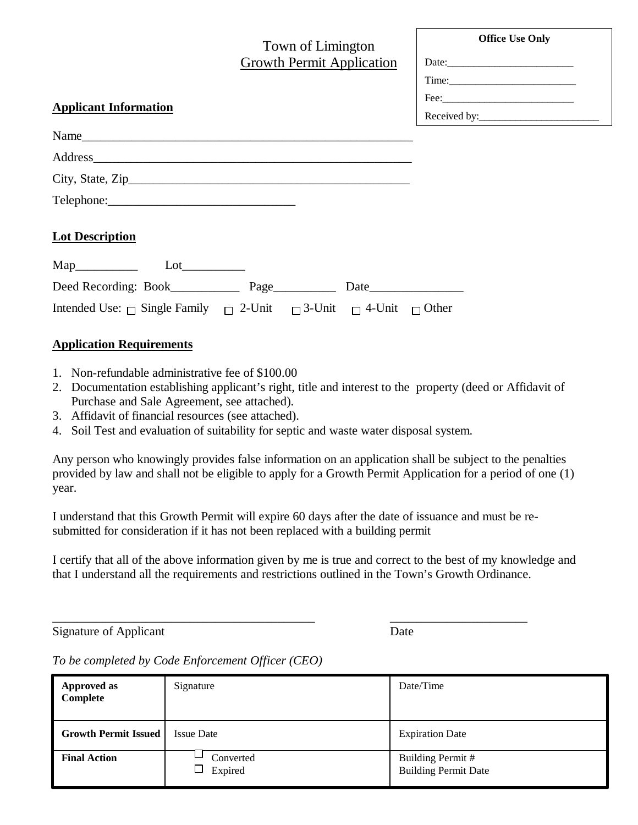|                                                                                                                                                                                                                                | Town of Limington<br><b>Growth Permit Application</b> | <b>Office Use Only</b><br>Date: $\qquad \qquad$ Date: |
|--------------------------------------------------------------------------------------------------------------------------------------------------------------------------------------------------------------------------------|-------------------------------------------------------|-------------------------------------------------------|
| <b>Applicant Information</b>                                                                                                                                                                                                   |                                                       |                                                       |
| Name                                                                                                                                                                                                                           |                                                       |                                                       |
| Address and the contract of the contract of the contract of the contract of the contract of the contract of the contract of the contract of the contract of the contract of the contract of the contract of the contract of th |                                                       |                                                       |
|                                                                                                                                                                                                                                |                                                       |                                                       |
|                                                                                                                                                                                                                                |                                                       |                                                       |
| <b>Lot Description</b>                                                                                                                                                                                                         |                                                       |                                                       |
| Lot                                                                                                                                                                                                                            |                                                       |                                                       |
| Deed Recording: Book Page                                                                                                                                                                                                      |                                                       |                                                       |

# **Application Requirements**

- 1. Non-refundable administrative fee of \$100.00
- 2. Documentation establishing applicant's right, title and interest to the property (deed or Affidavit of Purchase and Sale Agreement, see attached).
- 3. Affidavit of financial resources (see attached).
- 4. Soil Test and evaluation of suitability for septic and waste water disposal system.

Intended Use:  $\Box$  Single Family  $\Box$  2-Unit  $\Box$  3-Unit  $\Box$  4-Unit  $\Box$  Other

Any person who knowingly provides false information on an application shall be subject to the penalties provided by law and shall not be eligible to apply for a Growth Permit Application for a period of one (1) year.

I understand that this Growth Permit will expire 60 days after the date of issuance and must be resubmitted for consideration if it has not been replaced with a building permit

\_\_\_\_\_\_\_\_\_\_\_\_\_\_\_\_\_\_\_\_\_\_\_\_\_\_\_\_\_\_\_\_\_\_\_\_\_\_\_\_\_\_ \_\_\_\_\_\_\_\_\_\_\_\_\_\_\_\_\_\_\_\_\_\_

I certify that all of the above information given by me is true and correct to the best of my knowledge and that I understand all the requirements and restrictions outlined in the Town's Growth Ordinance.

Signature of Applicant Date

*To be completed by Code Enforcement Officer (CEO)*

| <b>Approved as</b><br>Complete | Signature            | Date/Time                                        |
|--------------------------------|----------------------|--------------------------------------------------|
| <b>Growth Permit Issued</b>    | <b>Issue Date</b>    | <b>Expiration Date</b>                           |
| <b>Final Action</b>            | Converted<br>Expired | Building Permit #<br><b>Building Permit Date</b> |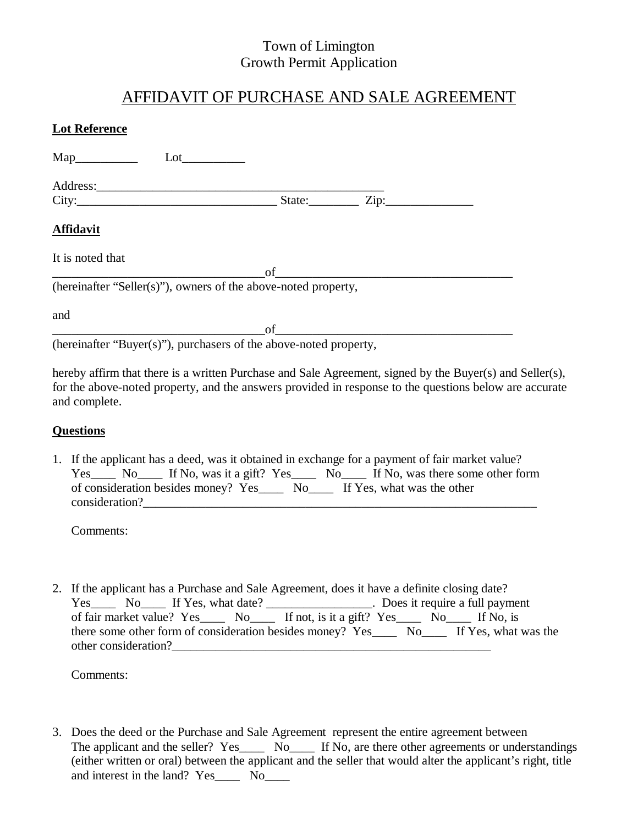## Town of Limington Growth Permit Application

# AFFIDAVIT OF PURCHASE AND SALE AGREEMENT

| <b>Lot Reference</b>                                              |    |  |
|-------------------------------------------------------------------|----|--|
| Lot                                                               |    |  |
|                                                                   |    |  |
|                                                                   |    |  |
| <b>Affidavit</b>                                                  |    |  |
| It is noted that                                                  |    |  |
| (hereinafter "Seller(s)"), owners of the above-noted property,    | of |  |
| and                                                               |    |  |
| (hereinafter "Buyer(s)"), purchasers of the above-noted property, | of |  |

hereby affirm that there is a written Purchase and Sale Agreement, signed by the Buyer(s) and Seller(s), for the above-noted property, and the answers provided in response to the questions below are accurate and complete.

#### **Questions**

1. If the applicant has a deed, was it obtained in exchange for a payment of fair market value? Yes\_\_\_\_ No\_\_\_\_ If No, was it a gift? Yes\_\_\_\_ No\_\_\_\_ If No, was there some other form of consideration besides money? Yes\_\_\_\_ No\_\_\_\_ If Yes, what was the other consideration?

Comments:

2. If the applicant has a Purchase and Sale Agreement, does it have a definite closing date? Yes\_\_\_\_ No\_\_\_\_ If Yes, what date? \_\_\_\_\_\_\_\_\_\_\_\_\_\_\_\_\_. Does it require a full payment of fair market value? Yes\_\_\_\_ No\_\_\_\_ If not, is it a gift? Yes\_\_\_\_ No\_\_\_\_ If No, is there some other form of consideration besides money? Yes\_\_\_\_ No\_\_\_\_ If Yes, what was the other consideration?

Comments:

3. Does the deed or the Purchase and Sale Agreement represent the entire agreement between The applicant and the seller? Yes No. If No, are there other agreements or understandings (either written or oral) between the applicant and the seller that would alter the applicant's right, title and interest in the land? Yes\_\_\_\_\_ No\_\_\_\_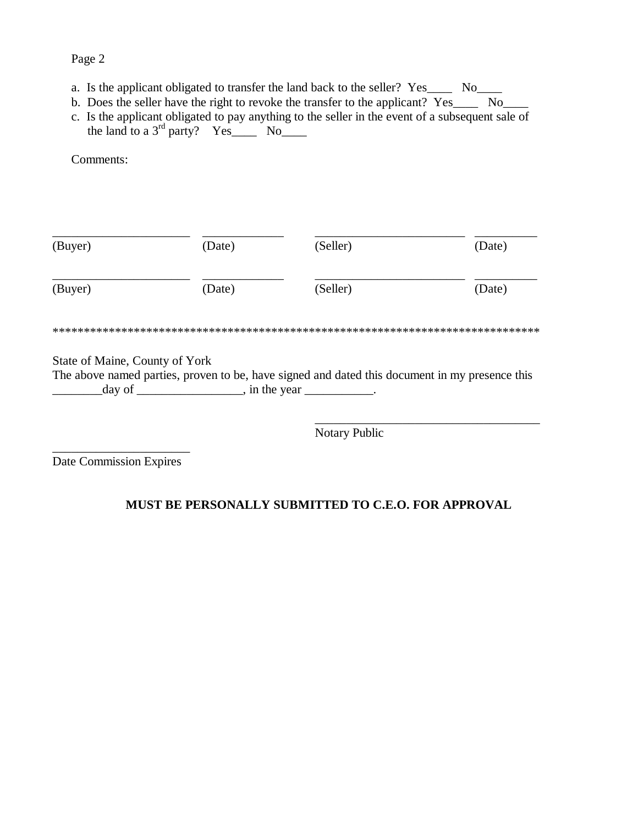### Page 2

- a. Is the applicant obligated to transfer the land back to the seller? Yes\_\_\_\_ No\_\_\_\_
- b. Does the seller have the right to revoke the transfer to the applicant? Yes\_\_\_\_ No\_\_\_\_
- c. Is the applicant obligated to pay anything to the seller in the event of a subsequent sale of the land to a  $3<sup>rd</sup>$  party? Yes\_\_\_\_ No\_\_\_\_

Comments:

| (Buyer)                        | (Date) | (Seller)                                                                                                                      | (Date) |
|--------------------------------|--------|-------------------------------------------------------------------------------------------------------------------------------|--------|
| (Buyer)                        | (Date) | (Seller)                                                                                                                      | (Date) |
|                                |        |                                                                                                                               |        |
| State of Maine, County of York |        |                                                                                                                               |        |
|                                |        | The above named parties, proven to be, have signed and dated this document in my presence this<br>$\Box$ , in the year $\Box$ |        |

Notary Public

\_\_\_\_\_\_\_\_\_\_\_\_\_\_\_\_\_\_\_\_\_\_ Date Commission Expires

#### **MUST BE PERSONALLY SUBMITTED TO C.E.O. FOR APPROVAL**